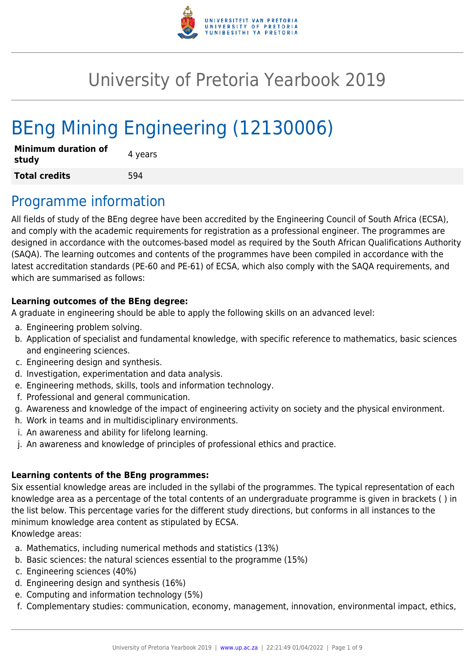

# University of Pretoria Yearbook 2019

# BEng Mining Engineering (12130006)

| <b>Minimum duration of</b><br>study | 4 years |
|-------------------------------------|---------|
| <b>Total credits</b>                | 594     |

## Programme information

All fields of study of the BEng degree have been accredited by the Engineering Council of South Africa (ECSA), and comply with the academic requirements for registration as a professional engineer. The programmes are designed in accordance with the outcomes-based model as required by the South African Qualifications Authority (SAQA). The learning outcomes and contents of the programmes have been compiled in accordance with the latest accreditation standards (PE-60 and PE-61) of ECSA, which also comply with the SAQA requirements, and which are summarised as follows:

#### **Learning outcomes of the BEng degree:**

A graduate in engineering should be able to apply the following skills on an advanced level:

- a. Engineering problem solving.
- b. Application of specialist and fundamental knowledge, with specific reference to mathematics, basic sciences and engineering sciences.
- c. Engineering design and synthesis.
- d. Investigation, experimentation and data analysis.
- e. Engineering methods, skills, tools and information technology.
- f. Professional and general communication.
- g. Awareness and knowledge of the impact of engineering activity on society and the physical environment.
- h. Work in teams and in multidisciplinary environments.
- i. An awareness and ability for lifelong learning.
- j. An awareness and knowledge of principles of professional ethics and practice.

#### **Learning contents of the BEng programmes:**

Six essential knowledge areas are included in the syllabi of the programmes. The typical representation of each knowledge area as a percentage of the total contents of an undergraduate programme is given in brackets ( ) in the list below. This percentage varies for the different study directions, but conforms in all instances to the minimum knowledge area content as stipulated by ECSA. Knowledge areas:

- a. Mathematics, including numerical methods and statistics (13%)
- b. Basic sciences: the natural sciences essential to the programme (15%)
- c. Engineering sciences (40%)
- d. Engineering design and synthesis (16%)
- e. Computing and information technology (5%)
- f. Complementary studies: communication, economy, management, innovation, environmental impact, ethics,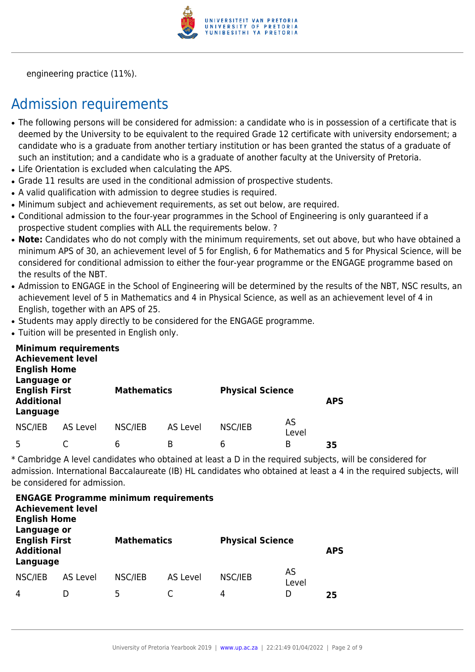

engineering practice (11%).

# Admission requirements

- The following persons will be considered for admission: a candidate who is in possession of a certificate that is deemed by the University to be equivalent to the required Grade 12 certificate with university endorsement; a candidate who is a graduate from another tertiary institution or has been granted the status of a graduate of such an institution; and a candidate who is a graduate of another faculty at the University of Pretoria.
- Life Orientation is excluded when calculating the APS.
- Grade 11 results are used in the conditional admission of prospective students.
- A valid qualification with admission to degree studies is required.
- Minimum subject and achievement requirements, as set out below, are required.
- Conditional admission to the four-year programmes in the School of Engineering is only guaranteed if a prospective student complies with ALL the requirements below. ?
- Note: Candidates who do not comply with the minimum requirements, set out above, but who have obtained a minimum APS of 30, an achievement level of 5 for English, 6 for Mathematics and 5 for Physical Science, will be considered for conditional admission to either the four-year programme or the ENGAGE programme based on the results of the NBT.
- Admission to ENGAGE in the School of Engineering will be determined by the results of the NBT. NSC results, an achievement level of 5 in Mathematics and 4 in Physical Science, as well as an achievement level of 4 in English, together with an APS of 25.
- Students may apply directly to be considered for the ENGAGE programme.
- Tuition will be presented in English only.

| <b>English Home</b><br>Language or                    | <b>Minimum requirements</b><br><b>Achievement level</b> |         |                    |         |                         |    |
|-------------------------------------------------------|---------------------------------------------------------|---------|--------------------|---------|-------------------------|----|
| <b>English First</b><br><b>Additional</b><br>Language |                                                         |         | <b>Mathematics</b> |         | <b>Physical Science</b> |    |
| NSC/IEB                                               | AS Level                                                | NSC/IEB | AS Level           | NSC/IEB | AS<br>Level             |    |
| 5                                                     |                                                         | 6       | B                  | 6       | B                       | 35 |

\* Cambridge A level candidates who obtained at least a D in the required subjects, will be considered for admission. International Baccalaureate (IB) HL candidates who obtained at least a 4 in the required subjects, will be considered for admission.

| <b>ENGAGE Programme minimum requirements</b><br><b>Achievement level</b><br><b>English Home</b><br>Language or |                 |                    |          |                         |             |            |  |  |  |  |
|----------------------------------------------------------------------------------------------------------------|-----------------|--------------------|----------|-------------------------|-------------|------------|--|--|--|--|
| <b>English First</b><br><b>Additional</b><br>Language                                                          |                 | <b>Mathematics</b> |          | <b>Physical Science</b> |             | <b>APS</b> |  |  |  |  |
| NSC/IEB                                                                                                        | <b>AS Level</b> | NSC/IEB            | AS Level | NSC/IEB                 | AS<br>Level |            |  |  |  |  |
| 4                                                                                                              |                 | 5                  |          | 4                       | D           | 25         |  |  |  |  |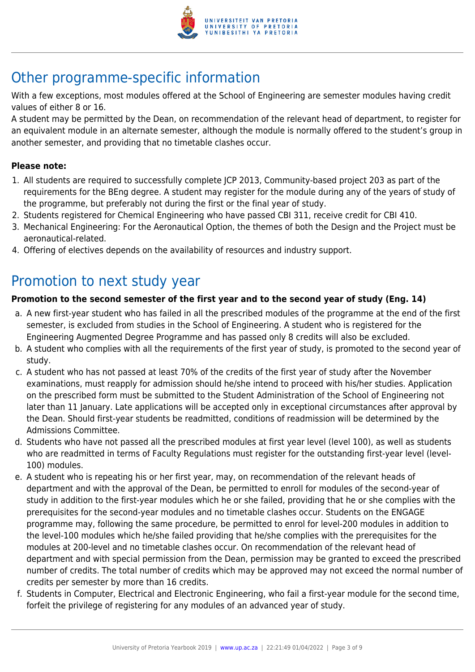

# Other programme-specific information

With a few exceptions, most modules offered at the School of Engineering are semester modules having credit values of either 8 or 16.

A student may be permitted by the Dean, on recommendation of the relevant head of department, to register for an equivalent module in an alternate semester, although the module is normally offered to the student's group in another semester, and providing that no timetable clashes occur.

#### **Please note:**

- 1. All students are required to successfully complete JCP 2013, Community-based project 203 as part of the requirements for the BEng degree. A student may register for the module during any of the years of study of the programme, but preferably not during the first or the final year of study.
- 2. Students registered for Chemical Engineering who have passed CBI 311, receive credit for CBI 410.
- 3. Mechanical Engineering: For the Aeronautical Option, the themes of both the Design and the Project must be aeronautical-related.
- 4. Offering of electives depends on the availability of resources and industry support.

# Promotion to next study year

#### **Promotion to the second semester of the first year and to the second year of study (Eng. 14)**

- a. A new first-year student who has failed in all the prescribed modules of the programme at the end of the first semester, is excluded from studies in the School of Engineering. A student who is registered for the Engineering Augmented Degree Programme and has passed only 8 credits will also be excluded.
- b. A student who complies with all the requirements of the first year of study, is promoted to the second year of study.
- c. A student who has not passed at least 70% of the credits of the first year of study after the November examinations, must reapply for admission should he/she intend to proceed with his/her studies. Application on the prescribed form must be submitted to the Student Administration of the School of Engineering not later than 11 January. Late applications will be accepted only in exceptional circumstances after approval by the Dean. Should first-year students be readmitted, conditions of readmission will be determined by the Admissions Committee.
- d. Students who have not passed all the prescribed modules at first year level (level 100), as well as students who are readmitted in terms of Faculty Regulations must register for the outstanding first-year level (level-100) modules.
- e. A student who is repeating his or her first year, may, on recommendation of the relevant heads of department and with the approval of the Dean, be permitted to enroll for modules of the second-year of study in addition to the first-year modules which he or she failed, providing that he or she complies with the prerequisites for the second-year modules and no timetable clashes occur. Students on the ENGAGE programme may, following the same procedure, be permitted to enrol for level-200 modules in addition to the level-100 modules which he/she failed providing that he/she complies with the prerequisites for the modules at 200-level and no timetable clashes occur. On recommendation of the relevant head of department and with special permission from the Dean, permission may be granted to exceed the prescribed number of credits. The total number of credits which may be approved may not exceed the normal number of credits per semester by more than 16 credits.
- f. Students in Computer, Electrical and Electronic Engineering, who fail a first-year module for the second time, forfeit the privilege of registering for any modules of an advanced year of study.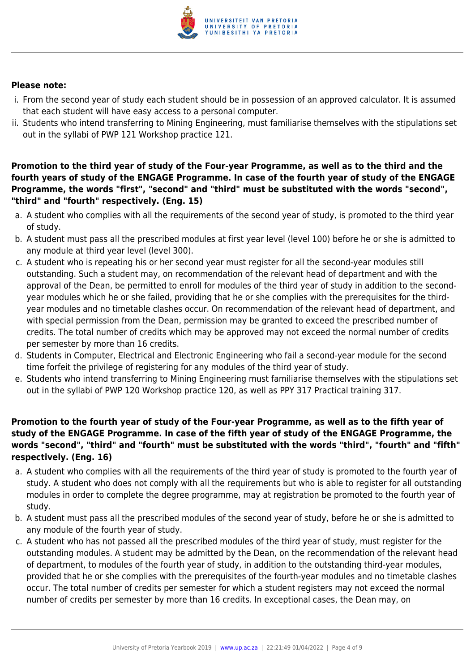

#### **Please note:**

- i. From the second year of study each student should be in possession of an approved calculator. It is assumed that each student will have easy access to a personal computer.
- ii. Students who intend transferring to Mining Engineering, must familiarise themselves with the stipulations set out in the syllabi of PWP 121 Workshop practice 121.

**Promotion to the third year of study of the Four-year Programme, as well as to the third and the fourth years of study of the ENGAGE Programme. In case of the fourth year of study of the ENGAGE Programme, the words "first", "second" and "third" must be substituted with the words "second", "third" and "fourth" respectively. (Eng. 15)**

- a. A student who complies with all the requirements of the second year of study, is promoted to the third year of study.
- b. A student must pass all the prescribed modules at first year level (level 100) before he or she is admitted to any module at third year level (level 300).
- c. A student who is repeating his or her second year must register for all the second-year modules still outstanding. Such a student may, on recommendation of the relevant head of department and with the approval of the Dean, be permitted to enroll for modules of the third year of study in addition to the secondyear modules which he or she failed, providing that he or she complies with the prerequisites for the thirdyear modules and no timetable clashes occur. On recommendation of the relevant head of department, and with special permission from the Dean, permission may be granted to exceed the prescribed number of credits. The total number of credits which may be approved may not exceed the normal number of credits per semester by more than 16 credits.
- d. Students in Computer, Electrical and Electronic Engineering who fail a second-year module for the second time forfeit the privilege of registering for any modules of the third year of study.
- e. Students who intend transferring to Mining Engineering must familiarise themselves with the stipulations set out in the syllabi of PWP 120 Workshop practice 120, as well as PPY 317 Practical training 317.

#### **Promotion to the fourth year of study of the Four-year Programme, as well as to the fifth year of study of the ENGAGE Programme. In case of the fifth year of study of the ENGAGE Programme, the words "second", "third" and "fourth" must be substituted with the words "third", "fourth" and "fifth" respectively. (Eng. 16)**

- a. A student who complies with all the requirements of the third year of study is promoted to the fourth year of study. A student who does not comply with all the requirements but who is able to register for all outstanding modules in order to complete the degree programme, may at registration be promoted to the fourth year of study.
- b. A student must pass all the prescribed modules of the second year of study, before he or she is admitted to any module of the fourth year of study.
- c. A student who has not passed all the prescribed modules of the third year of study, must register for the outstanding modules. A student may be admitted by the Dean, on the recommendation of the relevant head of department, to modules of the fourth year of study, in addition to the outstanding third-year modules, provided that he or she complies with the prerequisites of the fourth-year modules and no timetable clashes occur. The total number of credits per semester for which a student registers may not exceed the normal number of credits per semester by more than 16 credits. In exceptional cases, the Dean may, on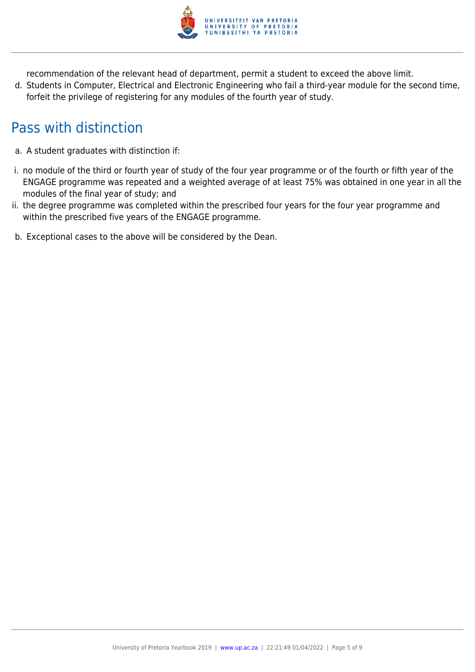

recommendation of the relevant head of department, permit a student to exceed the above limit.

d. Students in Computer, Electrical and Electronic Engineering who fail a third-year module for the second time, forfeit the privilege of registering for any modules of the fourth year of study.

# Pass with distinction

- a. A student graduates with distinction if:
- i. no module of the third or fourth year of study of the four year programme or of the fourth or fifth year of the ENGAGE programme was repeated and a weighted average of at least 75% was obtained in one year in all the modules of the final year of study; and
- ii. the degree programme was completed within the prescribed four years for the four year programme and within the prescribed five years of the ENGAGE programme.
- b. Exceptional cases to the above will be considered by the Dean.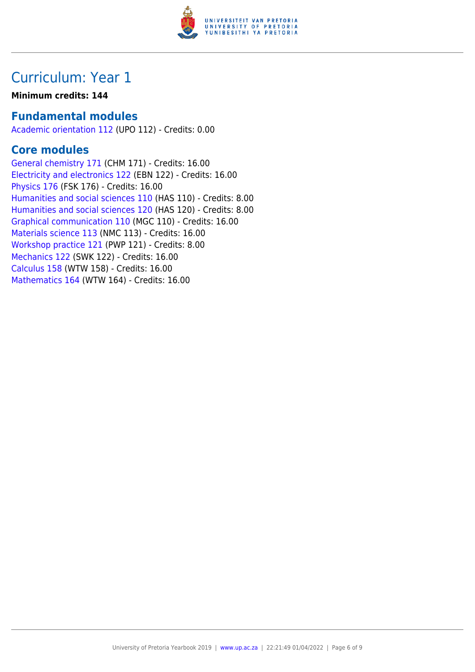

## Curriculum: Year 1

#### **Minimum credits: 144**

### **Fundamental modules**

[Academic orientation 112](https://www.up.ac.za/yearbooks/2019/modules/view/UPO 112) (UPO 112) - Credits: 0.00

### **Core modules**

[General chemistry 171](https://www.up.ac.za/yearbooks/2019/modules/view/CHM 171) (CHM 171) - Credits: 16.00 [Electricity and electronics 122](https://www.up.ac.za/yearbooks/2019/modules/view/EBN 122) (EBN 122) - Credits: 16.00 [Physics 176](https://www.up.ac.za/yearbooks/2019/modules/view/FSK 176) (FSK 176) - Credits: 16.00 [Humanities and social sciences 110](https://www.up.ac.za/yearbooks/2019/modules/view/HAS 110) (HAS 110) - Credits: 8.00 [Humanities and social sciences 120](https://www.up.ac.za/yearbooks/2019/modules/view/HAS 120) (HAS 120) - Credits: 8.00 [Graphical communication 110](https://www.up.ac.za/yearbooks/2019/modules/view/MGC 110) (MGC 110) - Credits: 16.00 [Materials science 113](https://www.up.ac.za/yearbooks/2019/modules/view/NMC 113) (NMC 113) - Credits: 16.00 [Workshop practice 121](https://www.up.ac.za/yearbooks/2019/modules/view/PWP 121) (PWP 121) - Credits: 8.00 [Mechanics 122](https://www.up.ac.za/yearbooks/2019/modules/view/SWK 122) (SWK 122) - Credits: 16.00 [Calculus 158](https://www.up.ac.za/yearbooks/2019/modules/view/WTW 158) (WTW 158) - Credits: 16.00 [Mathematics 164](https://www.up.ac.za/yearbooks/2019/modules/view/WTW 164) (WTW 164) - Credits: 16.00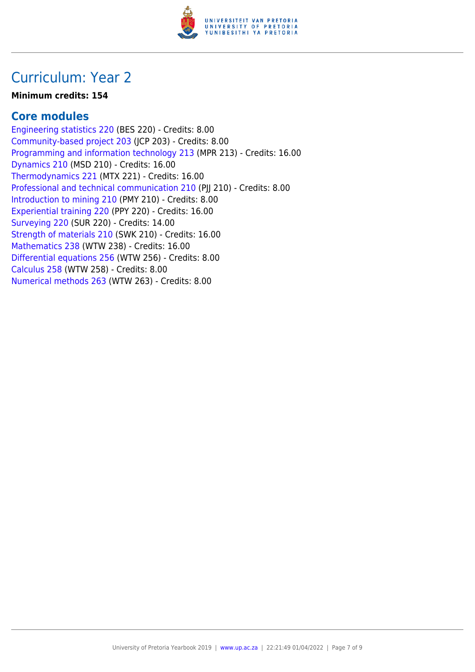

## Curriculum: Year 2

#### **Minimum credits: 154**

### **Core modules**

[Engineering statistics 220](https://www.up.ac.za/yearbooks/2019/modules/view/BES 220) (BES 220) - Credits: 8.00 [Community-based project 203](https://www.up.ac.za/yearbooks/2019/modules/view/JCP 203) (JCP 203) - Credits: 8.00 [Programming and information technology 213](https://www.up.ac.za/yearbooks/2019/modules/view/MPR 213) (MPR 213) - Credits: 16.00 [Dynamics 210](https://www.up.ac.za/yearbooks/2019/modules/view/MSD 210) (MSD 210) - Credits: 16.00 [Thermodynamics 221](https://www.up.ac.za/yearbooks/2019/modules/view/MTX 221) (MTX 221) - Credits: 16.00 [Professional and technical communication 210](https://www.up.ac.za/yearbooks/2019/modules/view/PJJ 210) (PII 210) - Credits: 8.00 [Introduction to mining 210](https://www.up.ac.za/yearbooks/2019/modules/view/PMY 210) (PMY 210) - Credits: 8.00 [Experiential training 220](https://www.up.ac.za/yearbooks/2019/modules/view/PPY 220) (PPY 220) - Credits: 16.00 [Surveying 220](https://www.up.ac.za/yearbooks/2019/modules/view/SUR 220) (SUR 220) - Credits: 14.00 [Strength of materials 210](https://www.up.ac.za/yearbooks/2019/modules/view/SWK 210) (SWK 210) - Credits: 16.00 [Mathematics 238](https://www.up.ac.za/yearbooks/2019/modules/view/WTW 238) (WTW 238) - Credits: 16.00 [Differential equations 256](https://www.up.ac.za/yearbooks/2019/modules/view/WTW 256) (WTW 256) - Credits: 8.00 [Calculus 258](https://www.up.ac.za/yearbooks/2019/modules/view/WTW 258) (WTW 258) - Credits: 8.00 [Numerical methods 263](https://www.up.ac.za/yearbooks/2019/modules/view/WTW 263) (WTW 263) - Credits: 8.00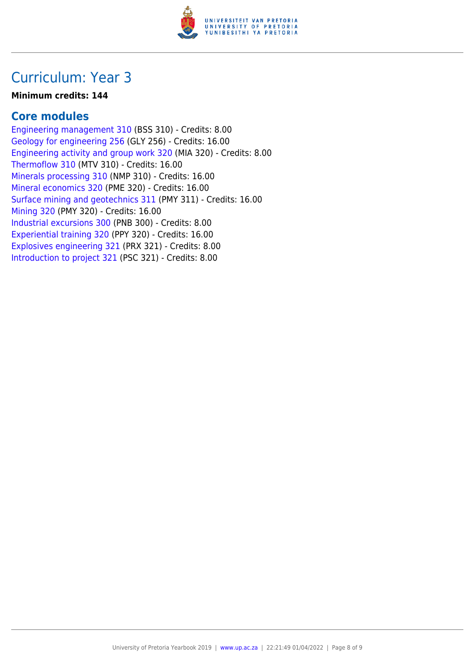

## Curriculum: Year 3

#### **Minimum credits: 144**

### **Core modules**

[Engineering management 310](https://www.up.ac.za/yearbooks/2019/modules/view/BSS 310) (BSS 310) - Credits: 8.00 [Geology for engineering 256](https://www.up.ac.za/yearbooks/2019/modules/view/GLY 256) (GLY 256) - Credits: 16.00 [Engineering activity and group work 320](https://www.up.ac.za/yearbooks/2019/modules/view/MIA 320) (MIA 320) - Credits: 8.00 [Thermoflow 310](https://www.up.ac.za/yearbooks/2019/modules/view/MTV 310) (MTV 310) - Credits: 16.00 [Minerals processing 310](https://www.up.ac.za/yearbooks/2019/modules/view/NMP 310) (NMP 310) - Credits: 16.00 [Mineral economics 320](https://www.up.ac.za/yearbooks/2019/modules/view/PME 320) (PME 320) - Credits: 16.00 [Surface mining and geotechnics 311](https://www.up.ac.za/yearbooks/2019/modules/view/PMY 311) (PMY 311) - Credits: 16.00 [Mining 320](https://www.up.ac.za/yearbooks/2019/modules/view/PMY 320) (PMY 320) - Credits: 16.00 [Industrial excursions 300](https://www.up.ac.za/yearbooks/2019/modules/view/PNB 300) (PNB 300) - Credits: 8.00 [Experiential training 320](https://www.up.ac.za/yearbooks/2019/modules/view/PPY 320) (PPY 320) - Credits: 16.00 [Explosives engineering 321](https://www.up.ac.za/yearbooks/2019/modules/view/PRX 321) (PRX 321) - Credits: 8.00 [Introduction to project 321](https://www.up.ac.za/yearbooks/2019/modules/view/PSC 321) (PSC 321) - Credits: 8.00